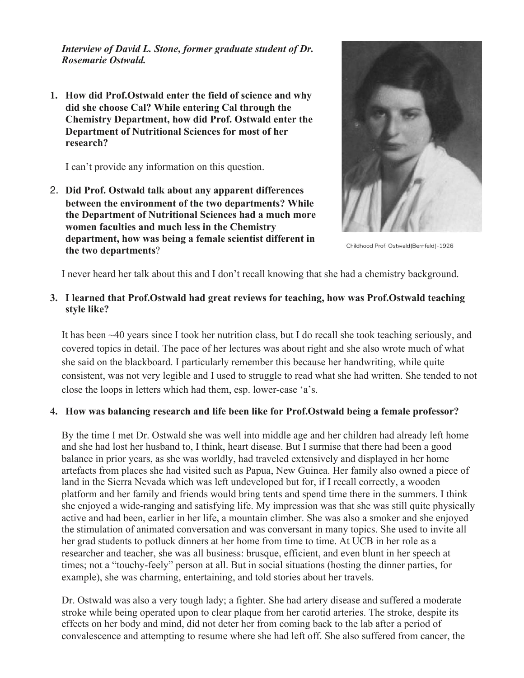*Interview of David L. Stone, former graduate student of Dr. Rosemarie Ostwald.*

**1. How did Prof.Ostwald enter the field of science and why did she choose Cal? While entering Cal through the Chemistry Department, how did Prof. Ostwald enter the Department of Nutritional Sciences for most of her research?**

I can't provide any information on this question.

2. **Did Prof. Ostwald talk about any apparent differences between the environment of the two departments? While the Department of Nutritional Sciences had a much more women faculties and much less in the Chemistry department, how was being a female scientist different in the two departments**?



Childhood Prof. Ostwald(Bernfeld)-1926

I never heard her talk about this and I don't recall knowing that she had a chemistry background.

### **3. I learned that Prof.Ostwald had great reviews for teaching, how was Prof.Ostwald teaching style like?**

It has been ~40 years since I took her nutrition class, but I do recall she took teaching seriously, and covered topics in detail. The pace of her lectures was about right and she also wrote much of what she said on the blackboard. I particularly remember this because her handwriting, while quite consistent, was not very legible and I used to struggle to read what she had written. She tended to not close the loops in letters which had them, esp. lower-case 'a's.

#### **4. How was balancing research and life been like for Prof.Ostwald being a female professor?**

By the time I met Dr. Ostwald she was well into middle age and her children had already left home and she had lost her husband to, I think, heart disease. But I surmise that there had been a good balance in prior years, as she was worldly, had traveled extensively and displayed in her home artefacts from places she had visited such as Papua, New Guinea. Her family also owned a piece of land in the Sierra Nevada which was left undeveloped but for, if I recall correctly, a wooden platform and her family and friends would bring tents and spend time there in the summers. I think she enjoyed a wide-ranging and satisfying life. My impression was that she was still quite physically active and had been, earlier in her life, a mountain climber. She was also a smoker and she enjoyed the stimulation of animated conversation and was conversant in many topics. She used to invite all her grad students to potluck dinners at her home from time to time. At UCB in her role as a researcher and teacher, she was all business: brusque, efficient, and even blunt in her speech at times; not a "touchy-feely" person at all. But in social situations (hosting the dinner parties, for example), she was charming, entertaining, and told stories about her travels.

Dr. Ostwald was also a very tough lady; a fighter. She had artery disease and suffered a moderate stroke while being operated upon to clear plaque from her carotid arteries. The stroke, despite its effects on her body and mind, did not deter her from coming back to the lab after a period of convalescence and attempting to resume where she had left off. She also suffered from cancer, the